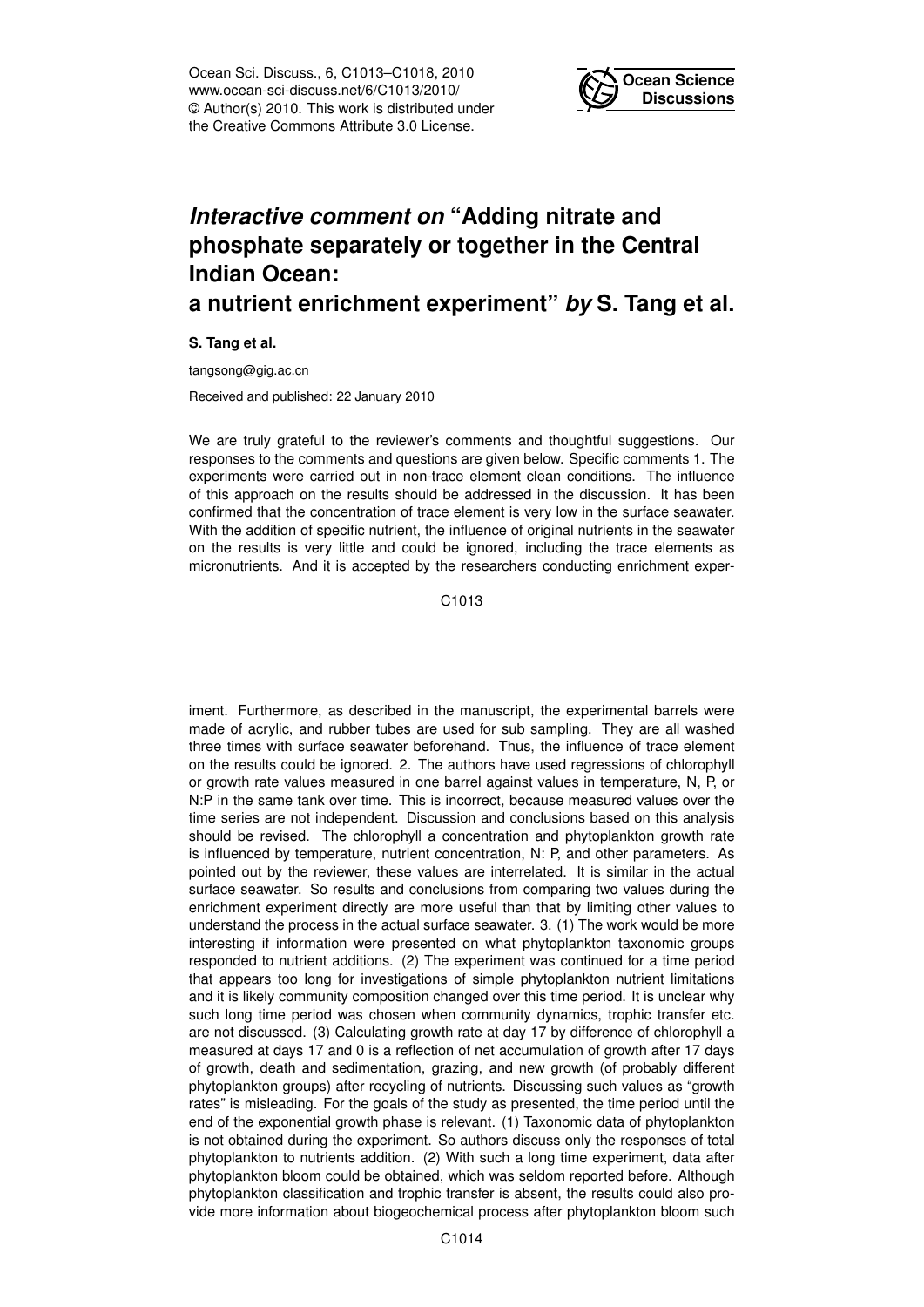Ocean Sci. Discuss., 6, C1013–C1018, 2010 www.ocean-sci-discuss.net/6/C1013/2010/ © Author(s) 2010. This work is distributed under the Creative Commons Attribute 3.0 License.



## *Interactive comment on* **"Adding nitrate and phosphate separately or together in the Central Indian Ocean:**

## **a nutrient enrichment experiment"** *by* **S. Tang et al.**

**S. Tang et al.**

tangsong@gig.ac.cn

Received and published: 22 January 2010

We are truly grateful to the reviewer's comments and thoughtful suggestions. Our responses to the comments and questions are given below. Specific comments 1. The experiments were carried out in non-trace element clean conditions. The influence of this approach on the results should be addressed in the discussion. It has been confirmed that the concentration of trace element is very low in the surface seawater. With the addition of specific nutrient, the influence of original nutrients in the seawater on the results is very little and could be ignored, including the trace elements as micronutrients. And it is accepted by the researchers conducting enrichment exper-

C1013

iment. Furthermore, as described in the manuscript, the experimental barrels were made of acrylic, and rubber tubes are used for sub sampling. They are all washed three times with surface seawater beforehand. Thus, the influence of trace element on the results could be ignored. 2. The authors have used regressions of chlorophyll or growth rate values measured in one barrel against values in temperature, N, P, or N:P in the same tank over time. This is incorrect, because measured values over the time series are not independent. Discussion and conclusions based on this analysis should be revised. The chlorophyll a concentration and phytoplankton growth rate is influenced by temperature, nutrient concentration, N: P, and other parameters. As pointed out by the reviewer, these values are interrelated. It is similar in the actual surface seawater. So results and conclusions from comparing two values during the enrichment experiment directly are more useful than that by limiting other values to understand the process in the actual surface seawater. 3. (1) The work would be more interesting if information were presented on what phytoplankton taxonomic groups responded to nutrient additions. (2) The experiment was continued for a time period that appears too long for investigations of simple phytoplankton nutrient limitations and it is likely community composition changed over this time period. It is unclear why such long time period was chosen when community dynamics, trophic transfer etc. are not discussed. (3) Calculating growth rate at day 17 by difference of chlorophyll a measured at days 17 and 0 is a reflection of net accumulation of growth after 17 days of growth, death and sedimentation, grazing, and new growth (of probably different phytoplankton groups) after recycling of nutrients. Discussing such values as "growth rates" is misleading. For the goals of the study as presented, the time period until the end of the exponential growth phase is relevant. (1) Taxonomic data of phytoplankton is not obtained during the experiment. So authors discuss only the responses of total phytoplankton to nutrients addition. (2) With such a long time experiment, data after phytoplankton bloom could be obtained, which was seldom reported before. Although phytoplankton classification and trophic transfer is absent, the results could also provide more information about biogeochemical process after phytoplankton bloom such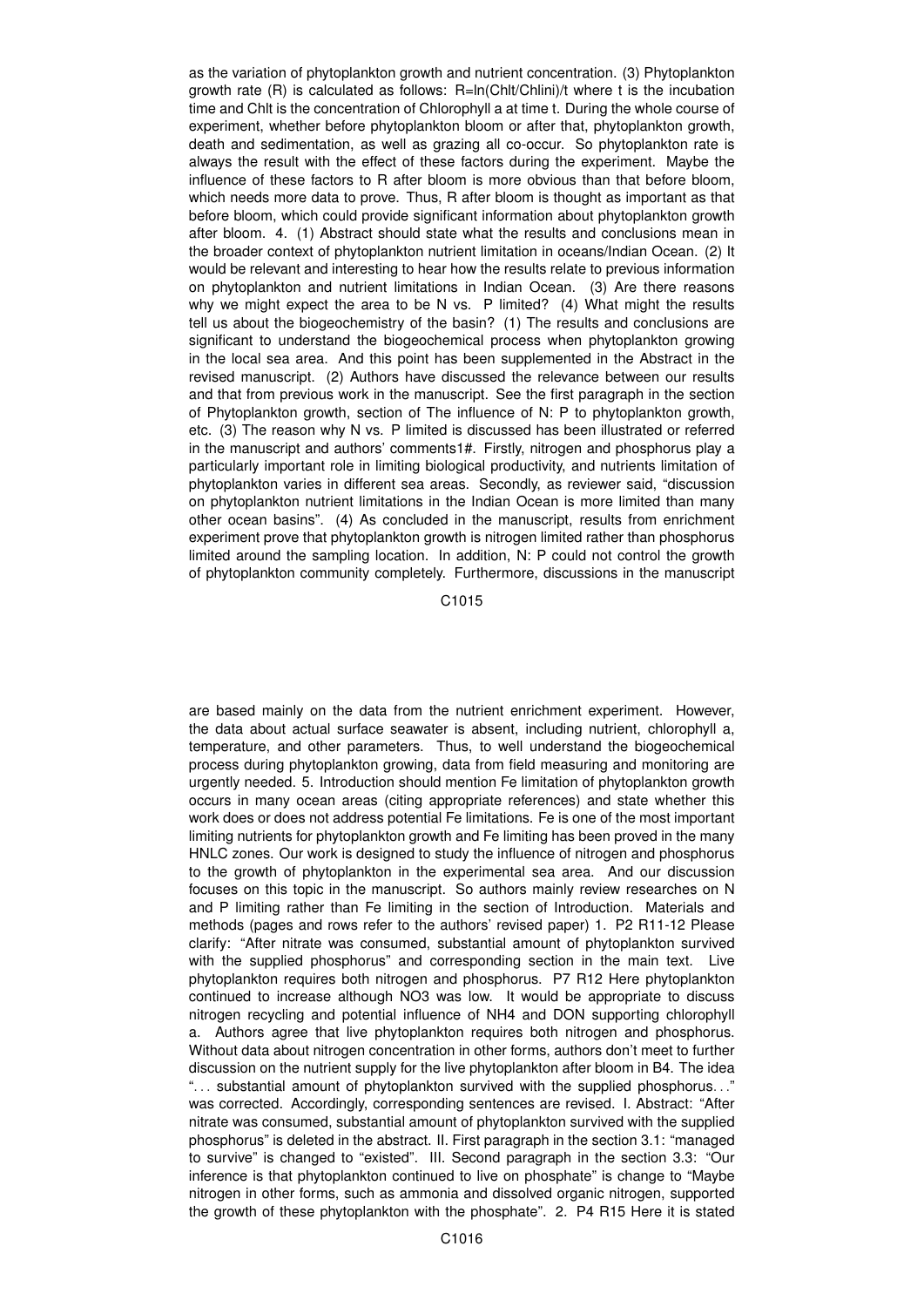as the variation of phytoplankton growth and nutrient concentration. (3) Phytoplankton growth rate  $(R)$  is calculated as follows:  $R=ln(ChIt/Chlini)/t$  where t is the incubation time and Chlt is the concentration of Chlorophyll a at time t. During the whole course of experiment, whether before phytoplankton bloom or after that, phytoplankton growth, death and sedimentation, as well as grazing all co-occur. So phytoplankton rate is always the result with the effect of these factors during the experiment. Maybe the influence of these factors to R after bloom is more obvious than that before bloom, which needs more data to prove. Thus, R after bloom is thought as important as that before bloom, which could provide significant information about phytoplankton growth after bloom. 4. (1) Abstract should state what the results and conclusions mean in the broader context of phytoplankton nutrient limitation in oceans/Indian Ocean. (2) It would be relevant and interesting to hear how the results relate to previous information on phytoplankton and nutrient limitations in Indian Ocean. (3) Are there reasons why we might expect the area to be N vs. P limited? (4) What might the results tell us about the biogeochemistry of the basin? (1) The results and conclusions are significant to understand the biogeochemical process when phytoplankton growing in the local sea area. And this point has been supplemented in the Abstract in the revised manuscript. (2) Authors have discussed the relevance between our results and that from previous work in the manuscript. See the first paragraph in the section of Phytoplankton growth, section of The influence of N: P to phytoplankton growth, etc. (3) The reason why N vs. P limited is discussed has been illustrated or referred in the manuscript and authors' comments1#. Firstly, nitrogen and phosphorus play a particularly important role in limiting biological productivity, and nutrients limitation of phytoplankton varies in different sea areas. Secondly, as reviewer said, "discussion on phytoplankton nutrient limitations in the Indian Ocean is more limited than many other ocean basins". (4) As concluded in the manuscript, results from enrichment experiment prove that phytoplankton growth is nitrogen limited rather than phosphorus limited around the sampling location. In addition, N: P could not control the growth of phytoplankton community completely. Furthermore, discussions in the manuscript

C1015

are based mainly on the data from the nutrient enrichment experiment. However, the data about actual surface seawater is absent, including nutrient, chlorophyll a, temperature, and other parameters. Thus, to well understand the biogeochemical process during phytoplankton growing, data from field measuring and monitoring are urgently needed. 5. Introduction should mention Fe limitation of phytoplankton growth occurs in many ocean areas (citing appropriate references) and state whether this work does or does not address potential Fe limitations. Fe is one of the most important limiting nutrients for phytoplankton growth and Fe limiting has been proved in the many HNLC zones. Our work is designed to study the influence of nitrogen and phosphorus to the growth of phytoplankton in the experimental sea area. And our discussion focuses on this topic in the manuscript. So authors mainly review researches on N and P limiting rather than Fe limiting in the section of Introduction. Materials and methods (pages and rows refer to the authors' revised paper) 1. P2 R11-12 Please clarify: "After nitrate was consumed, substantial amount of phytoplankton survived with the supplied phosphorus" and corresponding section in the main text. Live phytoplankton requires both nitrogen and phosphorus. P7 R12 Here phytoplankton continued to increase although NO3 was low. It would be appropriate to discuss nitrogen recycling and potential influence of NH4 and DON supporting chlorophyll a. Authors agree that live phytoplankton requires both nitrogen and phosphorus. Without data about nitrogen concentration in other forms, authors don't meet to further discussion on the nutrient supply for the live phytoplankton after bloom in B4. The idea ". . . substantial amount of phytoplankton survived with the supplied phosphorus. . ." was corrected. Accordingly, corresponding sentences are revised. I. Abstract: "After nitrate was consumed, substantial amount of phytoplankton survived with the supplied phosphorus" is deleted in the abstract. II. First paragraph in the section 3.1: "managed to survive" is changed to "existed". III. Second paragraph in the section 3.3: "Our inference is that phytoplankton continued to live on phosphate" is change to "Maybe nitrogen in other forms, such as ammonia and dissolved organic nitrogen, supported the growth of these phytoplankton with the phosphate". 2. P4 R15 Here it is stated